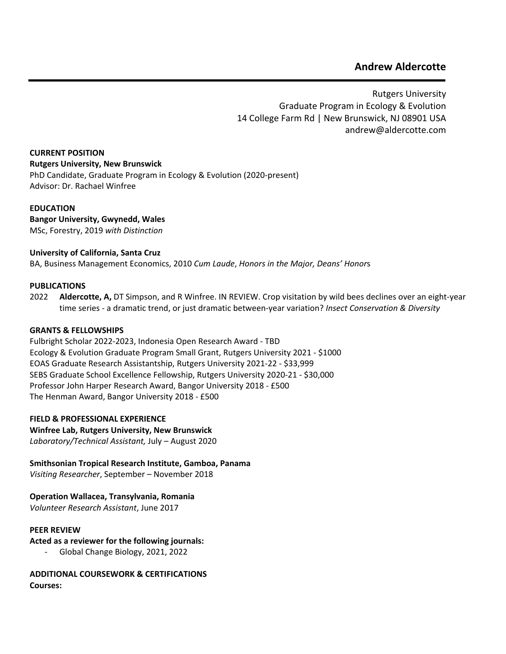# **Andrew Aldercotte**

Rutgers University Graduate Program in Ecology & Evolution 14 College Farm Rd | New Brunswick, NJ 08901 USA andrew@aldercotte.com

**CURRENT POSITION Rutgers University, New Brunswick** PhD Candidate, Graduate Program in Ecology & Evolution (2020-present) Advisor: Dr. Rachael Winfree

## **EDUCATION**

**Bangor University, Gwynedd, Wales** MSc, Forestry, 2019 *with Distinction*

## **University of California, Santa Cruz**

BA, Business Management Economics, 2010 *Cum Laude*, *Honors in the Major, Deans' Honor*s

#### **PUBLICATIONS**

**2022 Aldercotte, A,** DT Simpson, and R Winfree. IN REVIEW. Crop visitation by wild bees declines over an eight-year time series - a dramatic trend, or just dramatic between-year variation? *Insect Conservation & Diversity* 

#### **GRANTS & FELLOWSHIPS**

Fulbright Scholar 2022-2023, Indonesia Open Research Award - TBD Ecology & Evolution Graduate Program Small Grant, Rutgers University 2021 - \$1000 EOAS Graduate Research Assistantship, Rutgers University 2021-22 - \$33,999 SEBS Graduate School Excellence Fellowship, Rutgers University 2020-21 - \$30,000 Professor John Harper Research Award, Bangor University 2018 - £500 The Henman Award, Bangor University 2018 - £500

#### **FIELD & PROFESSIONAL EXPERIENCE**

**Winfree Lab, Rutgers University, New Brunswick** *Laboratory/Technical Assistant,* July – August 2020

**Smithsonian Tropical Research Institute, Gamboa, Panama**

*Visiting Researcher*, September – November 2018

**Operation Wallacea, Transylvania, Romania**

*Volunteer Research Assistant*, June 2017

#### **PEER REVIEW**

**Acted as a reviewer for the following journals:**

- Global Change Biology, 2021, 2022

**ADDITIONAL COURSEWORK & CERTIFICATIONS Courses:**